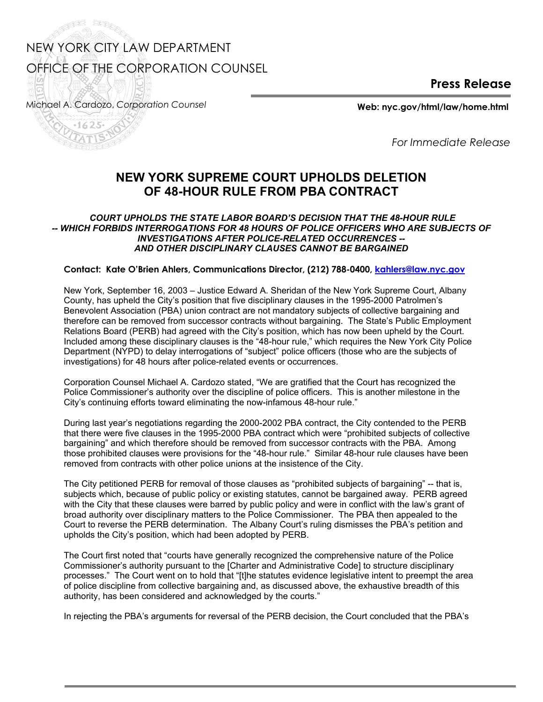## NEW YORK CITY LAW DEPARTMENT OFFICE OF THE CORPORATION COUNSEL

**Press Release**

Michael A. Cardozo, *Corporation Counsel* **Web: nyc.gov/html/law/home.html** 

J<sup>SS</sup>

200

*For Immediate Release* 

## **NEW YORK SUPREME COURT UPHOLDS DELETION OF 48-HOUR RULE FROM PBA CONTRACT**

## *COURT UPHOLDS THE STATE LABOR BOARD'S DECISION THAT THE 48-HOUR RULE -- WHICH FORBIDS INTERROGATIONS FOR 48 HOURS OF POLICE OFFICERS WHO ARE SUBJECTS OF INVESTIGATIONS AFTER POLICE-RELATED OCCURRENCES -- AND OTHER DISCIPLINARY CLAUSES CANNOT BE BARGAINED*

## **Contact: Kate O'Brien Ahlers, Communications Director, (212) 788-0400, kahlers@law.nyc.gov**

New York, September 16, 2003 – Justice Edward A. Sheridan of the New York Supreme Court, Albany County, has upheld the City's position that five disciplinary clauses in the 1995-2000 Patrolmen's Benevolent Association (PBA) union contract are not mandatory subjects of collective bargaining and therefore can be removed from successor contracts without bargaining. The State's Public Employment Relations Board (PERB) had agreed with the City's position, which has now been upheld by the Court. Included among these disciplinary clauses is the "48-hour rule," which requires the New York City Police Department (NYPD) to delay interrogations of "subject" police officers (those who are the subjects of investigations) for 48 hours after police-related events or occurrences.

Corporation Counsel Michael A. Cardozo stated, "We are gratified that the Court has recognized the Police Commissioner's authority over the discipline of police officers. This is another milestone in the City's continuing efforts toward eliminating the now-infamous 48-hour rule."

During last year's negotiations regarding the 2000-2002 PBA contract, the City contended to the PERB that there were five clauses in the 1995-2000 PBA contract which were "prohibited subjects of collective bargaining" and which therefore should be removed from successor contracts with the PBA. Among those prohibited clauses were provisions for the "48-hour rule." Similar 48-hour rule clauses have been removed from contracts with other police unions at the insistence of the City.

The City petitioned PERB for removal of those clauses as "prohibited subjects of bargaining" -- that is, subjects which, because of public policy or existing statutes, cannot be bargained away. PERB agreed with the City that these clauses were barred by public policy and were in conflict with the law's grant of broad authority over disciplinary matters to the Police Commissioner. The PBA then appealed to the Court to reverse the PERB determination. The Albany Court's ruling dismisses the PBA's petition and upholds the City's position, which had been adopted by PERB.

The Court first noted that "courts have generally recognized the comprehensive nature of the Police Commissioner's authority pursuant to the [Charter and Administrative Code] to structure disciplinary processes." The Court went on to hold that "[t]he statutes evidence legislative intent to preempt the area of police discipline from collective bargaining and, as discussed above, the exhaustive breadth of this authority, has been considered and acknowledged by the courts."

In rejecting the PBA's arguments for reversal of the PERB decision, the Court concluded that the PBA's